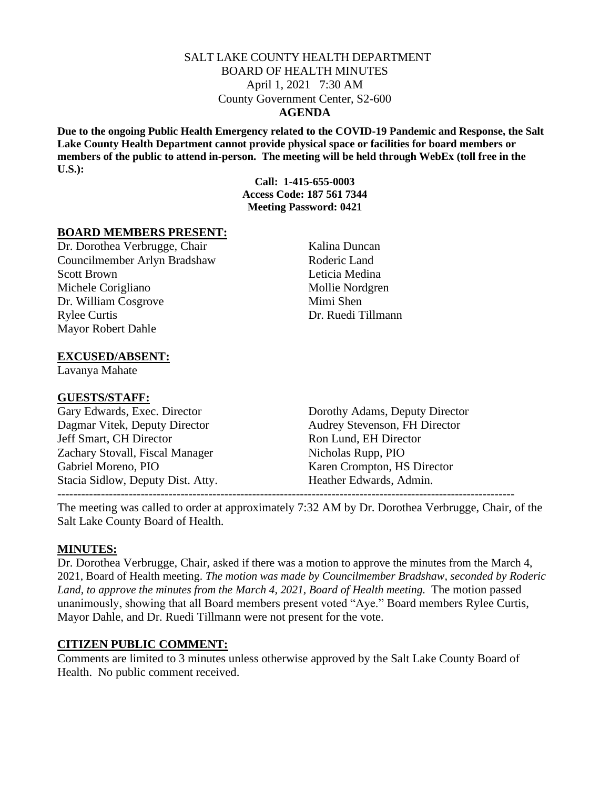### SALT LAKE COUNTY HEALTH DEPARTMENT BOARD OF HEALTH MINUTES April 1, 2021 7:30 AM County Government Center, S2-600 **AGENDA**

**Due to the ongoing Public Health Emergency related to the COVID-19 Pandemic and Response, the Salt Lake County Health Department cannot provide physical space or facilities for board members or members of the public to attend in-person. The meeting will be held through WebEx (toll free in the U.S.):**

> **Call: 1-415-655-0003 Access Code: 187 561 7344 Meeting Password: 0421**

### **BOARD MEMBERS PRESENT:**

Dr. Dorothea Verbrugge, Chair Kalina Duncan Councilmember Arlyn Bradshaw Roderic Land Scott Brown Leticia Medina Michele Corigliano Mollie Nordgren Dr. William Cosgrove Mimi Shen Rylee Curtis Dr. Ruedi Tillmann Mayor Robert Dahle

## **EXCUSED/ABSENT:**

Lavanya Mahate

### **GUESTS/STAFF:**

Dagmar Vitek, Deputy Director Audrey Stevenson, FH Director Jeff Smart, CH Director Ron Lund, EH Director Zachary Stovall, Fiscal Manager Nicholas Rupp, PIO Gabriel Moreno, PIO Karen Crompton, HS Director Stacia Sidlow, Deputy Dist. Atty. Heather Edwards, Admin.

Gary Edwards, Exec. Director Dorothy Adams, Deputy Director

The meeting was called to order at approximately 7:32 AM by Dr. Dorothea Verbrugge, Chair, of the Salt Lake County Board of Health.

#### **MINUTES:**

Dr. Dorothea Verbrugge, Chair, asked if there was a motion to approve the minutes from the March 4, 2021, Board of Health meeting. *The motion was made by Councilmember Bradshaw, seconded by Roderic Land, to approve the minutes from the March 4, 2021, Board of Health meeting.* The motion passed unanimously, showing that all Board members present voted "Aye." Board members Rylee Curtis, Mayor Dahle, and Dr. Ruedi Tillmann were not present for the vote.

### **CITIZEN PUBLIC COMMENT:**

Comments are limited to 3 minutes unless otherwise approved by the Salt Lake County Board of Health. No public comment received.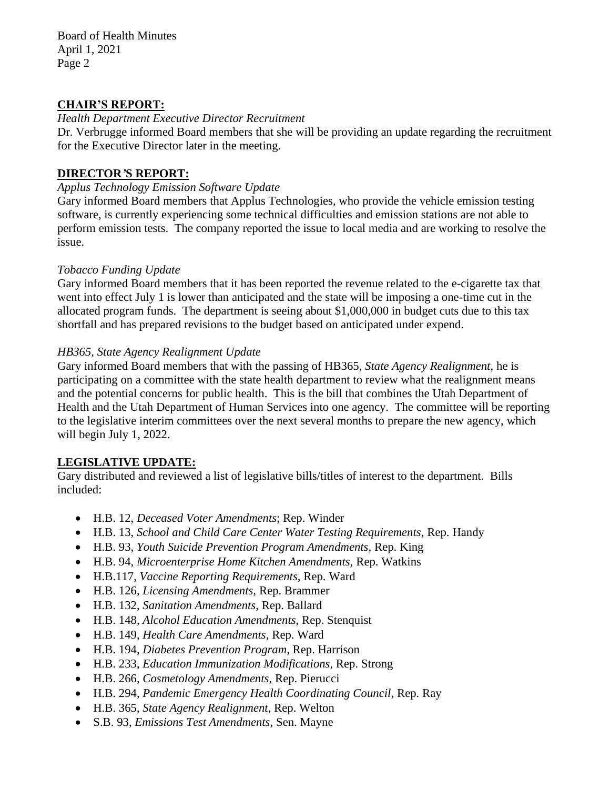Board of Health Minutes April 1, 2021 Page 2

## **CHAIR'S REPORT:**

*Health Department Executive Director Recruitment*

Dr. Verbrugge informed Board members that she will be providing an update regarding the recruitment for the Executive Director later in the meeting.

# **DIRECTOR***'***S REPORT:**

### *Applus Technology Emission Software Update*

Gary informed Board members that Applus Technologies, who provide the vehicle emission testing software, is currently experiencing some technical difficulties and emission stations are not able to perform emission tests. The company reported the issue to local media and are working to resolve the issue.

## *Tobacco Funding Update*

Gary informed Board members that it has been reported the revenue related to the e-cigarette tax that went into effect July 1 is lower than anticipated and the state will be imposing a one-time cut in the allocated program funds. The department is seeing about \$1,000,000 in budget cuts due to this tax shortfall and has prepared revisions to the budget based on anticipated under expend.

## *HB365, State Agency Realignment Update*

Gary informed Board members that with the passing of HB365, *State Agency Realignment*, he is participating on a committee with the state health department to review what the realignment means and the potential concerns for public health. This is the bill that combines the Utah Department of Health and the Utah Department of Human Services into one agency. The committee will be reporting to the legislative interim committees over the next several months to prepare the new agency, which will begin July 1, 2022.

# **LEGISLATIVE UPDATE:**

Gary distributed and reviewed a list of legislative bills/titles of interest to the department. Bills included:

- H.B. 12, *Deceased Voter Amendments*; Rep. Winder
- H.B. 13, *School and Child Care Center Water Testing Requirements,* Rep. Handy
- H.B. 93, *Youth Suicide Prevention Program Amendments,* Rep. King
- H.B. 94, *Microenterprise Home Kitchen Amendments,* Rep. Watkins
- H.B.117, *Vaccine Reporting Requirements,* Rep. Ward
- H.B. 126, *Licensing Amendments,* Rep. Brammer
- H.B. 132, *Sanitation Amendments,* Rep. Ballard
- H.B. 148, *Alcohol Education Amendments,* Rep. Stenquist
- H.B. 149, *Health Care Amendments,* Rep. Ward
- H.B. 194, *Diabetes Prevention Program*, Rep. Harrison
- H.B. 233, *Education Immunization Modifications*, Rep. Strong
- H.B. 266, *Cosmetology Amendments,* Rep. Pierucci
- H.B. 294, *Pandemic Emergency Health Coordinating Council,* Rep. Ray
- H.B. 365, *State Agency Realignment,* Rep. Welton
- S.B. 93, *Emissions Test Amendments,* Sen. Mayne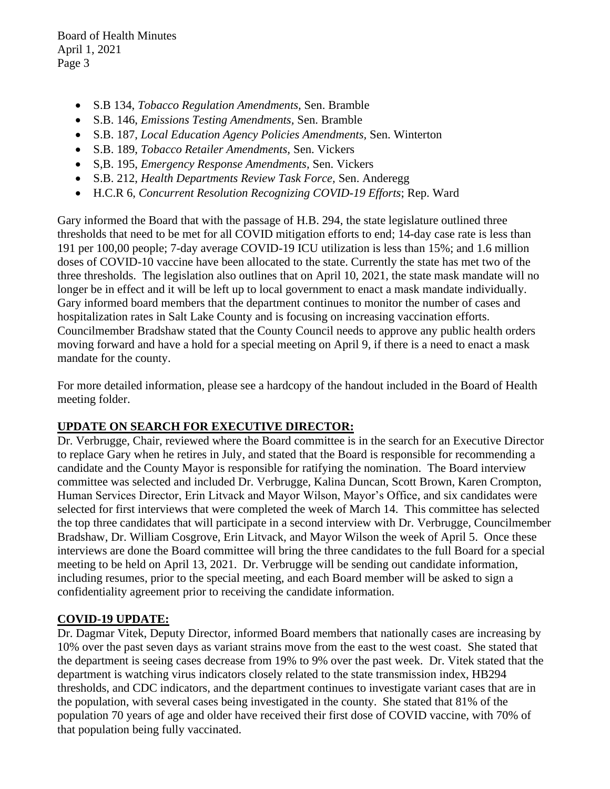Board of Health Minutes April 1, 2021 Page 3

- S.B 134, *Tobacco Regulation Amendments,* Sen. Bramble
- S.B. 146, *Emissions Testing Amendments,* Sen. Bramble
- S.B. 187, *Local Education Agency Policies Amendments,* Sen. Winterton
- S.B. 189, *Tobacco Retailer Amendments,* Sen. Vickers
- S,B. 195, *Emergency Response Amendments,* Sen. Vickers
- S.B. 212, *Health Departments Review Task Force,* Sen. Anderegg
- H.C.R 6, *Concurrent Resolution Recognizing COVID-19 Efforts*; Rep. Ward

Gary informed the Board that with the passage of H.B. 294, the state legislature outlined three thresholds that need to be met for all COVID mitigation efforts to end; 14-day case rate is less than 191 per 100,00 people; 7-day average COVID-19 ICU utilization is less than 15%; and 1.6 million doses of COVID-10 vaccine have been allocated to the state. Currently the state has met two of the three thresholds. The legislation also outlines that on April 10, 2021, the state mask mandate will no longer be in effect and it will be left up to local government to enact a mask mandate individually. Gary informed board members that the department continues to monitor the number of cases and hospitalization rates in Salt Lake County and is focusing on increasing vaccination efforts. Councilmember Bradshaw stated that the County Council needs to approve any public health orders moving forward and have a hold for a special meeting on April 9, if there is a need to enact a mask mandate for the county.

For more detailed information, please see a hardcopy of the handout included in the Board of Health meeting folder.

# **UPDATE ON SEARCH FOR EXECUTIVE DIRECTOR:**

Dr. Verbrugge, Chair, reviewed where the Board committee is in the search for an Executive Director to replace Gary when he retires in July, and stated that the Board is responsible for recommending a candidate and the County Mayor is responsible for ratifying the nomination. The Board interview committee was selected and included Dr. Verbrugge, Kalina Duncan, Scott Brown, Karen Crompton, Human Services Director, Erin Litvack and Mayor Wilson, Mayor's Office, and six candidates were selected for first interviews that were completed the week of March 14. This committee has selected the top three candidates that will participate in a second interview with Dr. Verbrugge, Councilmember Bradshaw, Dr. William Cosgrove, Erin Litvack, and Mayor Wilson the week of April 5. Once these interviews are done the Board committee will bring the three candidates to the full Board for a special meeting to be held on April 13, 2021. Dr. Verbrugge will be sending out candidate information, including resumes, prior to the special meeting, and each Board member will be asked to sign a confidentiality agreement prior to receiving the candidate information.

# **COVID-19 UPDATE:**

Dr. Dagmar Vitek, Deputy Director, informed Board members that nationally cases are increasing by 10% over the past seven days as variant strains move from the east to the west coast. She stated that the department is seeing cases decrease from 19% to 9% over the past week. Dr. Vitek stated that the department is watching virus indicators closely related to the state transmission index, HB294 thresholds, and CDC indicators, and the department continues to investigate variant cases that are in the population, with several cases being investigated in the county. She stated that 81% of the population 70 years of age and older have received their first dose of COVID vaccine, with 70% of that population being fully vaccinated.